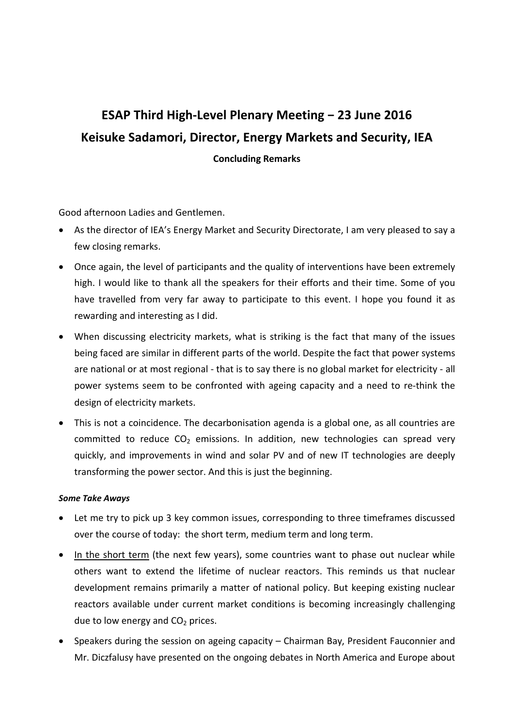## **ESAP Third High-Level Plenary Meeting − 23 June 2016 Keisuke Sadamori, Director, Energy Markets and Security, IEA Concluding Remarks**

Good afternoon Ladies and Gentlemen.

- As the director of IEA's Energy Market and Security Directorate, I am very pleased to say a few closing remarks.
- Once again, the level of participants and the quality of interventions have been extremely high. I would like to thank all the speakers for their efforts and their time. Some of you have travelled from very far away to participate to this event. I hope you found it as rewarding and interesting as I did.
- When discussing electricity markets, what is striking is the fact that many of the issues being faced are similar in different parts of the world. Despite the fact that power systems are national or at most regional - that is to say there is no global market for electricity - all power systems seem to be confronted with ageing capacity and a need to re-think the design of electricity markets.
- This is not a coincidence. The decarbonisation agenda is a global one, as all countries are committed to reduce  $CO<sub>2</sub>$  emissions. In addition, new technologies can spread very quickly, and improvements in wind and solar PV and of new IT technologies are deeply transforming the power sector. And this is just the beginning.

## *Some Take Aways*

- Let me try to pick up 3 key common issues, corresponding to three timeframes discussed over the course of today: the short term, medium term and long term.
- In the short term (the next few years), some countries want to phase out nuclear while others want to extend the lifetime of nuclear reactors. This reminds us that nuclear development remains primarily a matter of national policy. But keeping existing nuclear reactors available under current market conditions is becoming increasingly challenging due to low energy and  $CO<sub>2</sub>$  prices.
- Speakers during the session on ageing capacity Chairman Bay, President Fauconnier and Mr. Diczfalusy have presented on the ongoing debates in North America and Europe about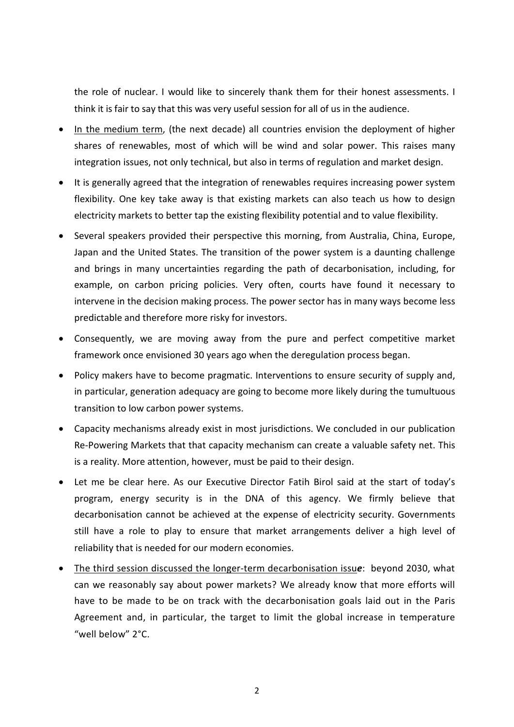the role of nuclear. I would like to sincerely thank them for their honest assessments. I think it is fair to say that this was very useful session for all of us in the audience.

- In the medium term, (the next decade) all countries envision the deployment of higher shares of renewables, most of which will be wind and solar power. This raises many integration issues, not only technical, but also in terms of regulation and market design.
- It is generally agreed that the integration of renewables requires increasing power system flexibility. One key take away is that existing markets can also teach us how to design electricity markets to better tap the existing flexibility potential and to value flexibility.
- Several speakers provided their perspective this morning, from Australia, China, Europe, Japan and the United States. The transition of the power system is a daunting challenge and brings in many uncertainties regarding the path of decarbonisation, including, for example, on carbon pricing policies. Very often, courts have found it necessary to intervene in the decision making process. The power sector has in many ways become less predictable and therefore more risky for investors.
- Consequently, we are moving away from the pure and perfect competitive market framework once envisioned 30 years ago when the deregulation process began.
- Policy makers have to become pragmatic. Interventions to ensure security of supply and, in particular, generation adequacy are going to become more likely during the tumultuous transition to low carbon power systems.
- Capacity mechanisms already exist in most jurisdictions. We concluded in our publication Re-Powering Markets that that capacity mechanism can create a valuable safety net. This is a reality. More attention, however, must be paid to their design.
- Let me be clear here. As our Executive Director Fatih Birol said at the start of today's program, energy security is in the DNA of this agency. We firmly believe that decarbonisation cannot be achieved at the expense of electricity security. Governments still have a role to play to ensure that market arrangements deliver a high level of reliability that is needed for our modern economies.
- The third session discussed the longer-term decarbonisation issu*e*: beyond 2030, what can we reasonably say about power markets? We already know that more efforts will have to be made to be on track with the decarbonisation goals laid out in the Paris Agreement and, in particular, the target to limit the global increase in temperature "well below" 2°C.